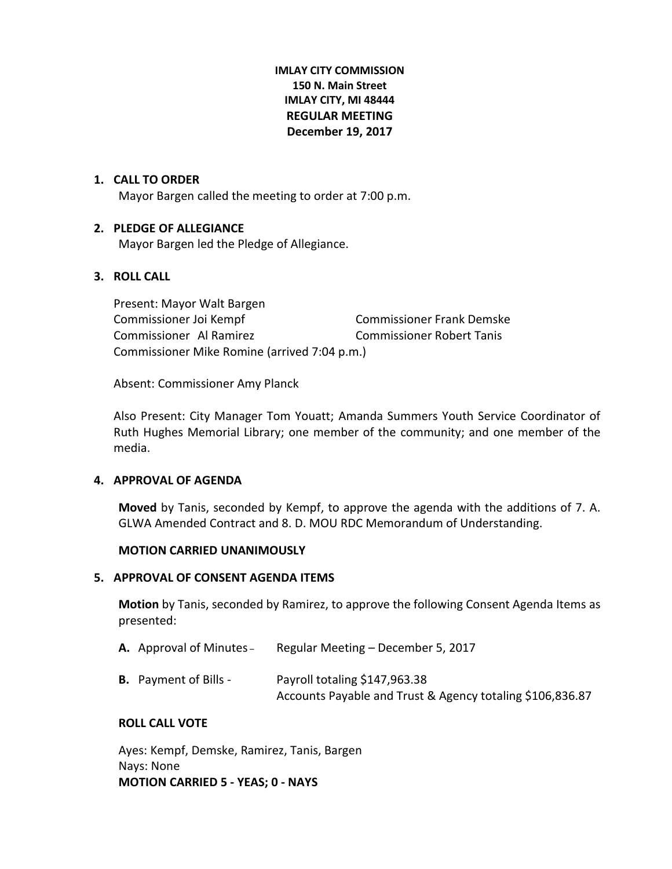# **IMLAY CITY COMMISSION 150 N. Main Street IMLAY CITY, MI 48444 REGULAR MEETING December 19, 2017**

#### **1. CALL TO ORDER**

Mayor Bargen called the meeting to order at 7:00 p.m.

#### **2. PLEDGE OF ALLEGIANCE**

Mayor Bargen led the Pledge of Allegiance.

#### **3. ROLL CALL**

Present: Mayor Walt Bargen Commissioner Joi Kempf Commissioner Frank Demske Commissioner Al Ramirez Commissioner Robert Tanis Commissioner Mike Romine (arrived 7:04 p.m.)

Absent: Commissioner Amy Planck

Also Present: City Manager Tom Youatt; Amanda Summers Youth Service Coordinator of Ruth Hughes Memorial Library; one member of the community; and one member of the media.

#### **4. APPROVAL OF AGENDA**

**Moved** by Tanis, seconded by Kempf, to approve the agenda with the additions of 7. A. GLWA Amended Contract and 8. D. MOU RDC Memorandum of Understanding.

#### **MOTION CARRIED UNANIMOUSLY**

#### **5. APPROVAL OF CONSENT AGENDA ITEMS**

**Motion** by Tanis, seconded by Ramirez, to approve the following Consent Agenda Items as presented:

|  | A. Approval of Minutes - | Regular Meeting - December 5, 2017 |
|--|--------------------------|------------------------------------|
|--|--------------------------|------------------------------------|

| <b>B.</b> Payment of Bills - | Payroll totaling \$147,963.38                             |
|------------------------------|-----------------------------------------------------------|
|                              | Accounts Payable and Trust & Agency totaling \$106,836.87 |

#### **ROLL CALL VOTE**

Ayes: Kempf, Demske, Ramirez, Tanis, Bargen Nays: None **MOTION CARRIED 5 - YEAS; 0 - NAYS**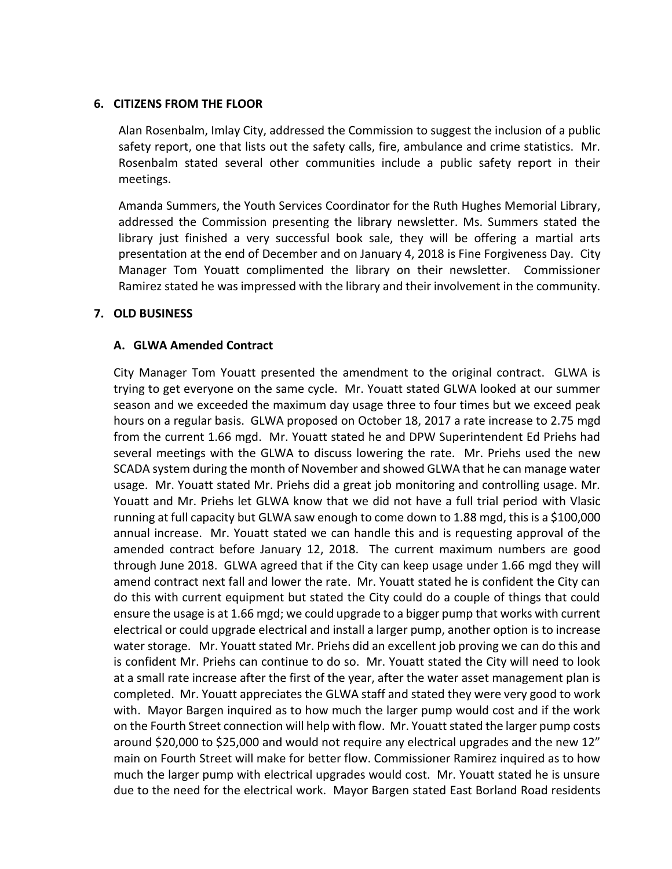#### **6. CITIZENS FROM THE FLOOR**

Alan Rosenbalm, Imlay City, addressed the Commission to suggest the inclusion of a public safety report, one that lists out the safety calls, fire, ambulance and crime statistics. Mr. Rosenbalm stated several other communities include a public safety report in their meetings.

Amanda Summers, the Youth Services Coordinator for the Ruth Hughes Memorial Library, addressed the Commission presenting the library newsletter. Ms. Summers stated the library just finished a very successful book sale, they will be offering a martial arts presentation at the end of December and on January 4, 2018 is Fine Forgiveness Day. City Manager Tom Youatt complimented the library on their newsletter. Commissioner Ramirez stated he was impressed with the library and their involvement in the community.

# **7. OLD BUSINESS**

# **A. GLWA Amended Contract**

City Manager Tom Youatt presented the amendment to the original contract. GLWA is trying to get everyone on the same cycle. Mr. Youatt stated GLWA looked at our summer season and we exceeded the maximum day usage three to four times but we exceed peak hours on a regular basis. GLWA proposed on October 18, 2017 a rate increase to 2.75 mgd from the current 1.66 mgd. Mr. Youatt stated he and DPW Superintendent Ed Priehs had several meetings with the GLWA to discuss lowering the rate. Mr. Priehs used the new SCADA system during the month of November and showed GLWA that he can manage water usage. Mr. Youatt stated Mr. Priehs did a great job monitoring and controlling usage. Mr. Youatt and Mr. Priehs let GLWA know that we did not have a full trial period with Vlasic running at full capacity but GLWA saw enough to come down to 1.88 mgd, this is a \$100,000 annual increase. Mr. Youatt stated we can handle this and is requesting approval of the amended contract before January 12, 2018. The current maximum numbers are good through June 2018. GLWA agreed that if the City can keep usage under 1.66 mgd they will amend contract next fall and lower the rate. Mr. Youatt stated he is confident the City can do this with current equipment but stated the City could do a couple of things that could ensure the usage is at 1.66 mgd; we could upgrade to a bigger pump that works with current electrical or could upgrade electrical and install a larger pump, another option is to increase water storage. Mr. Youatt stated Mr. Priehs did an excellent job proving we can do this and is confident Mr. Priehs can continue to do so. Mr. Youatt stated the City will need to look at a small rate increase after the first of the year, after the water asset management plan is completed. Mr. Youatt appreciates the GLWA staff and stated they were very good to work with. Mayor Bargen inquired as to how much the larger pump would cost and if the work on the Fourth Street connection will help with flow. Mr. Youatt stated the larger pump costs around \$20,000 to \$25,000 and would not require any electrical upgrades and the new 12" main on Fourth Street will make for better flow. Commissioner Ramirez inquired as to how much the larger pump with electrical upgrades would cost. Mr. Youatt stated he is unsure due to the need for the electrical work. Mayor Bargen stated East Borland Road residents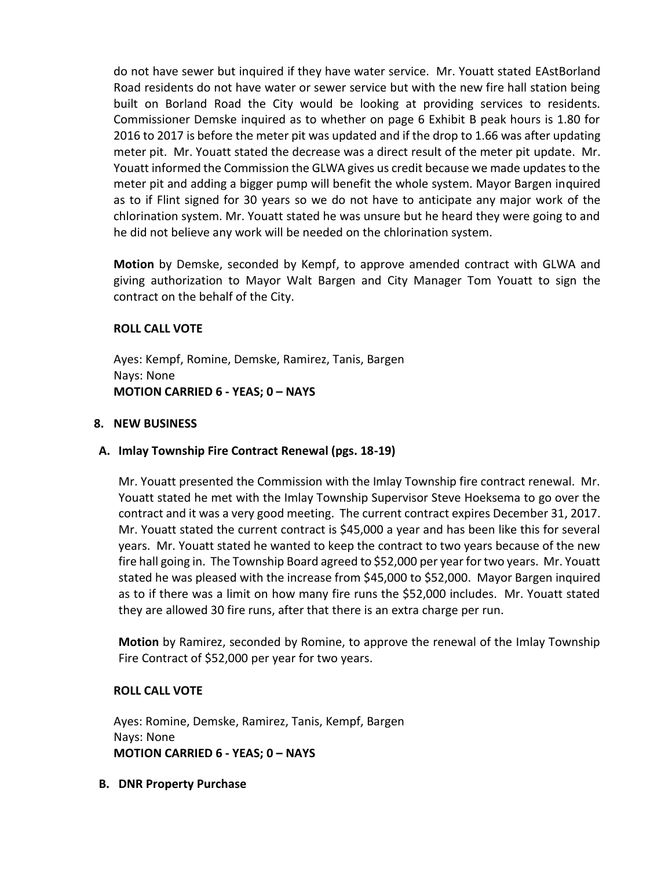do not have sewer but inquired if they have water service. Mr. Youatt stated EAstBorland Road residents do not have water or sewer service but with the new fire hall station being built on Borland Road the City would be looking at providing services to residents. Commissioner Demske inquired as to whether on page 6 Exhibit B peak hours is 1.80 for 2016 to 2017 is before the meter pit was updated and if the drop to 1.66 was after updating meter pit. Mr. Youatt stated the decrease was a direct result of the meter pit update. Mr. Youatt informed the Commission the GLWA gives us credit because we made updates to the meter pit and adding a bigger pump will benefit the whole system. Mayor Bargen inquired as to if Flint signed for 30 years so we do not have to anticipate any major work of the chlorination system. Mr. Youatt stated he was unsure but he heard they were going to and he did not believe any work will be needed on the chlorination system.

**Motion** by Demske, seconded by Kempf, to approve amended contract with GLWA and giving authorization to Mayor Walt Bargen and City Manager Tom Youatt to sign the contract on the behalf of the City.

# **ROLL CALL VOTE**

Ayes: Kempf, Romine, Demske, Ramirez, Tanis, Bargen Nays: None **MOTION CARRIED 6 - YEAS; 0 – NAYS**

# **8. NEW BUSINESS**

# **A. Imlay Township Fire Contract Renewal (pgs. 18-19)**

Mr. Youatt presented the Commission with the Imlay Township fire contract renewal. Mr. Youatt stated he met with the Imlay Township Supervisor Steve Hoeksema to go over the contract and it was a very good meeting. The current contract expires December 31, 2017. Mr. Youatt stated the current contract is \$45,000 a year and has been like this for several years. Mr. Youatt stated he wanted to keep the contract to two years because of the new fire hall going in. The Township Board agreed to \$52,000 per year for two years. Mr. Youatt stated he was pleased with the increase from \$45,000 to \$52,000. Mayor Bargen inquired as to if there was a limit on how many fire runs the \$52,000 includes. Mr. Youatt stated they are allowed 30 fire runs, after that there is an extra charge per run.

**Motion** by Ramirez, seconded by Romine, to approve the renewal of the Imlay Township Fire Contract of \$52,000 per year for two years.

# **ROLL CALL VOTE**

Ayes: Romine, Demske, Ramirez, Tanis, Kempf, Bargen Nays: None **MOTION CARRIED 6 - YEAS; 0 – NAYS**

**B. DNR Property Purchase**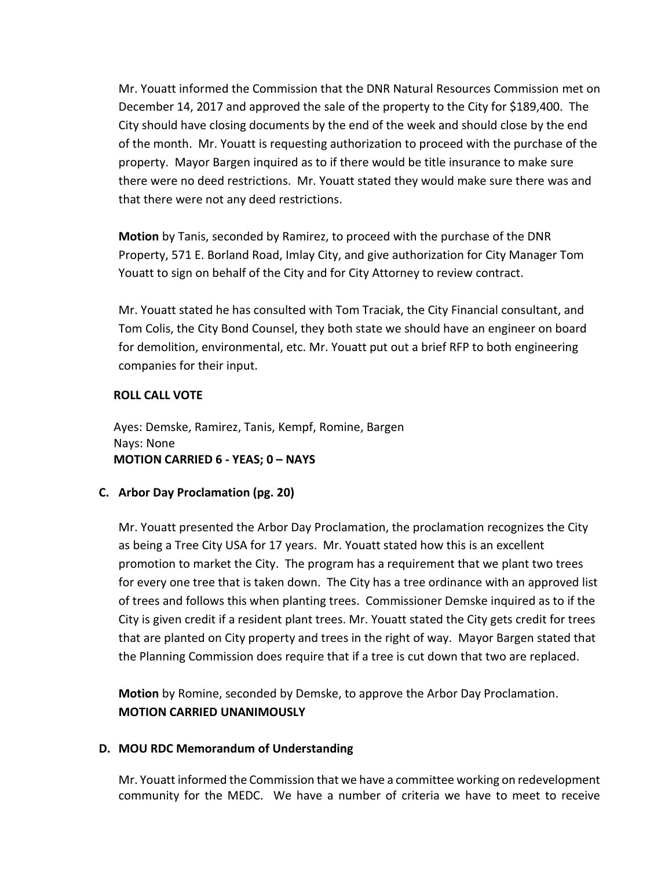Mr. Youatt informed the Commission that the DNR Natural Resources Commission met on December 14, 2017 and approved the sale of the property to the City for \$189,400. The City should have closing documents by the end of the week and should close by the end of the month. Mr. Youatt is requesting authorization to proceed with the purchase of the property. Mayor Bargen inquired as to if there would be title insurance to make sure there were no deed restrictions. Mr. Youatt stated they would make sure there was and that there were not any deed restrictions.

**Motion** by Tanis, seconded by Ramirez, to proceed with the purchase of the DNR Property, 571 E. Borland Road, Imlay City, and give authorization for City Manager Tom Youatt to sign on behalf of the City and for City Attorney to review contract.

Mr. Youatt stated he has consulted with Tom Traciak, the City Financial consultant, and Tom Colis, the City Bond Counsel, they both state we should have an engineer on board for demolition, environmental, etc. Mr. Youatt put out a brief RFP to both engineering companies for their input.

# **ROLL CALL VOTE**

Ayes: Demske, Ramirez, Tanis, Kempf, Romine, Bargen Nays: None **MOTION CARRIED 6 - YEAS; 0 – NAYS**

# **C. Arbor Day Proclamation (pg. 20)**

Mr. Youatt presented the Arbor Day Proclamation, the proclamation recognizes the City as being a Tree City USA for 17 years. Mr. Youatt stated how this is an excellent promotion to market the City. The program has a requirement that we plant two trees for every one tree that is taken down. The City has a tree ordinance with an approved list of trees and follows this when planting trees. Commissioner Demske inquired as to if the City is given credit if a resident plant trees. Mr. Youatt stated the City gets credit for trees that are planted on City property and trees in the right of way. Mayor Bargen stated that the Planning Commission does require that if a tree is cut down that two are replaced.

**Motion** by Romine, seconded by Demske, to approve the Arbor Day Proclamation. **MOTION CARRIED UNANIMOUSLY**

# **D. MOU RDC Memorandum of Understanding**

Mr. Youatt informed the Commission that we have a committee working on redevelopment community for the MEDC. We have a number of criteria we have to meet to receive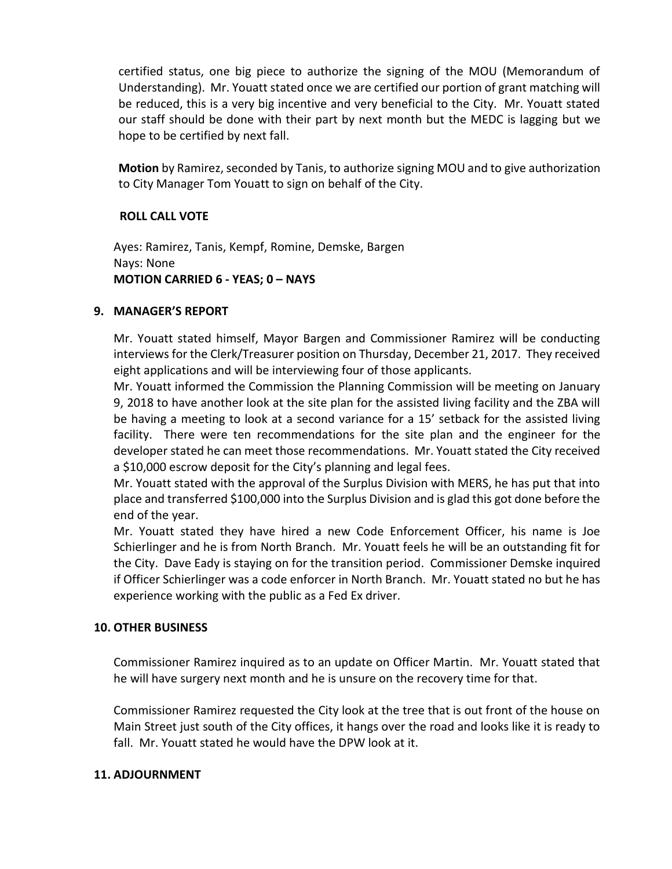certified status, one big piece to authorize the signing of the MOU (Memorandum of Understanding). Mr. Youatt stated once we are certified our portion of grant matching will be reduced, this is a very big incentive and very beneficial to the City. Mr. Youatt stated our staff should be done with their part by next month but the MEDC is lagging but we hope to be certified by next fall.

**Motion** by Ramirez, seconded by Tanis, to authorize signing MOU and to give authorization to City Manager Tom Youatt to sign on behalf of the City.

# **ROLL CALL VOTE**

Ayes: Ramirez, Tanis, Kempf, Romine, Demske, Bargen Nays: None **MOTION CARRIED 6 - YEAS; 0 – NAYS**

# **9. MANAGER'S REPORT**

Mr. Youatt stated himself, Mayor Bargen and Commissioner Ramirez will be conducting interviews for the Clerk/Treasurer position on Thursday, December 21, 2017. They received eight applications and will be interviewing four of those applicants.

Mr. Youatt informed the Commission the Planning Commission will be meeting on January 9, 2018 to have another look at the site plan for the assisted living facility and the ZBA will be having a meeting to look at a second variance for a 15' setback for the assisted living facility. There were ten recommendations for the site plan and the engineer for the developer stated he can meet those recommendations. Mr. Youatt stated the City received a \$10,000 escrow deposit for the City's planning and legal fees.

Mr. Youatt stated with the approval of the Surplus Division with MERS, he has put that into place and transferred \$100,000 into the Surplus Division and is glad this got done before the end of the year.

Mr. Youatt stated they have hired a new Code Enforcement Officer, his name is Joe Schierlinger and he is from North Branch. Mr. Youatt feels he will be an outstanding fit for the City. Dave Eady is staying on for the transition period. Commissioner Demske inquired if Officer Schierlinger was a code enforcer in North Branch. Mr. Youatt stated no but he has experience working with the public as a Fed Ex driver.

# **10. OTHER BUSINESS**

Commissioner Ramirez inquired as to an update on Officer Martin. Mr. Youatt stated that he will have surgery next month and he is unsure on the recovery time for that.

Commissioner Ramirez requested the City look at the tree that is out front of the house on Main Street just south of the City offices, it hangs over the road and looks like it is ready to fall. Mr. Youatt stated he would have the DPW look at it.

# **11. ADJOURNMENT**